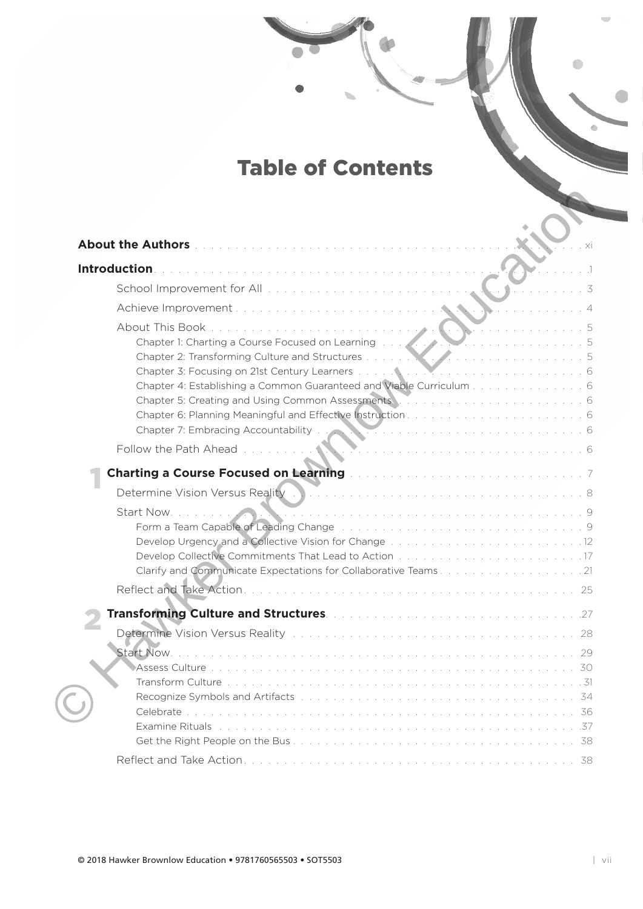# Table of Contents

| About the Authors <b>Manufacturers</b> and the contract of the contract of the contract of the contract of the contract of the contract of the contract of the contract of the contract of the contract of the contract of the cont |  |
|-------------------------------------------------------------------------------------------------------------------------------------------------------------------------------------------------------------------------------------|--|
| <b>Introduction</b><br>a de la caractería de la caractería de la caractería de la caractería de la caractería de la caractería de la                                                                                                |  |
| . 3                                                                                                                                                                                                                                 |  |
|                                                                                                                                                                                                                                     |  |
|                                                                                                                                                                                                                                     |  |
| Chapter 1: Charting a Course Focused on Learning [11] Chapter 1: Charting<br>. 5                                                                                                                                                    |  |
|                                                                                                                                                                                                                                     |  |
|                                                                                                                                                                                                                                     |  |
| Chapter 4: Establishing a Common Guaranteed and Viable Curriculum 6                                                                                                                                                                 |  |
| Chapter 5: Creating and Using Common Assessments New League League and League 6                                                                                                                                                     |  |
|                                                                                                                                                                                                                                     |  |
|                                                                                                                                                                                                                                     |  |
|                                                                                                                                                                                                                                     |  |
| Charting a Course Focused on Learning Manuscript and Charting a Course of T                                                                                                                                                         |  |
|                                                                                                                                                                                                                                     |  |
| Start Now<br>Q. S                                                                                                                                                                                                                   |  |
| Form a Team Capable of Leading Change (Fig. 1991) 1996 (Fig. 1991) 1996 (Fig. 1991) 1996                                                                                                                                            |  |
|                                                                                                                                                                                                                                     |  |
|                                                                                                                                                                                                                                     |  |
|                                                                                                                                                                                                                                     |  |
|                                                                                                                                                                                                                                     |  |
| Transforming Culture and Structures <b>Expansion Contract Contract Contract Contract Contract Contract Contract Co</b>                                                                                                              |  |
|                                                                                                                                                                                                                                     |  |
| Start Now.                                                                                                                                                                                                                          |  |
|                                                                                                                                                                                                                                     |  |
|                                                                                                                                                                                                                                     |  |
|                                                                                                                                                                                                                                     |  |
|                                                                                                                                                                                                                                     |  |
| Examine Rituals (Fig. 1993) and the Care and Care and Care and Care and Care and Care and Care and Care and Ca                                                                                                                      |  |
|                                                                                                                                                                                                                                     |  |
|                                                                                                                                                                                                                                     |  |

 $\bar{\phantom{a}}$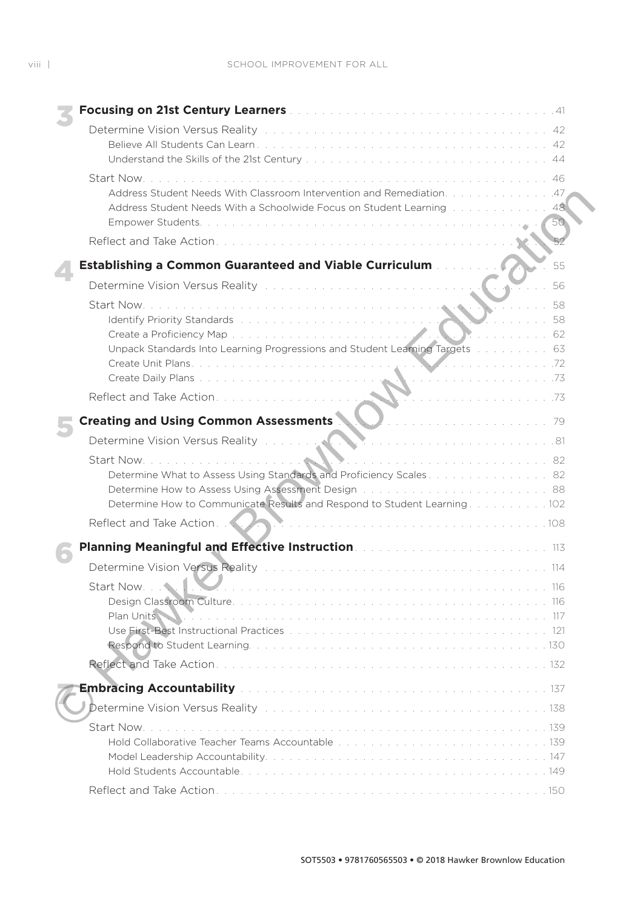| Focusing on 21st Century Learners and a contract of the contract of the 141                                                                                                                                                                                               |  |
|---------------------------------------------------------------------------------------------------------------------------------------------------------------------------------------------------------------------------------------------------------------------------|--|
| Believe All Students Can Learn, Albert Library Library Library Library Library Library 2014                                                                                                                                                                               |  |
| Address Student Needs With Classroom Intervention and Remediation. 47<br>Address Student Needs With a Schoolwide Focus on Student Learning [2010] 48<br>50                                                                                                                |  |
|                                                                                                                                                                                                                                                                           |  |
| <b>Establishing a Common Guaranteed and Viable Curriculum</b><br>55                                                                                                                                                                                                       |  |
| 56<br>i sa sa sa                                                                                                                                                                                                                                                          |  |
| 58<br>. 58<br>. 62<br>Unpack Standards Into Learning Progressions and Student Learning Targets [1, 1, 1, 1, 1, 1, 1, 63]                                                                                                                                                  |  |
| 173                                                                                                                                                                                                                                                                       |  |
| <b>Creating and Using Common Assessments</b><br>Determine Vision Versus Reality [1] [1] Determine Vision Versus Reality<br>Determine What to Assess Using Standards and Proficiency Scales 82<br>Determine How to Communicate Results and Respond to Student Learning 102 |  |
| Reflect and Take Action.                                                                                                                                                                                                                                                  |  |
| Determine Vision Versus Reality [1] [1] [1] Determined the contract of the United States of the United States I                                                                                                                                                           |  |
| Use First-Best Instructional Practices (Fig. 1996) (1996) (Fig. 1997) (1997) (Fig. 1997) (1998) (Fig. 1997) (                                                                                                                                                             |  |
| <b>Embracing Accountability</b> and a construction of the construction of the 137                                                                                                                                                                                         |  |
| Determine Vision Versus Reality (and a contract of the contract of the contract of the District of the District                                                                                                                                                           |  |
|                                                                                                                                                                                                                                                                           |  |
|                                                                                                                                                                                                                                                                           |  |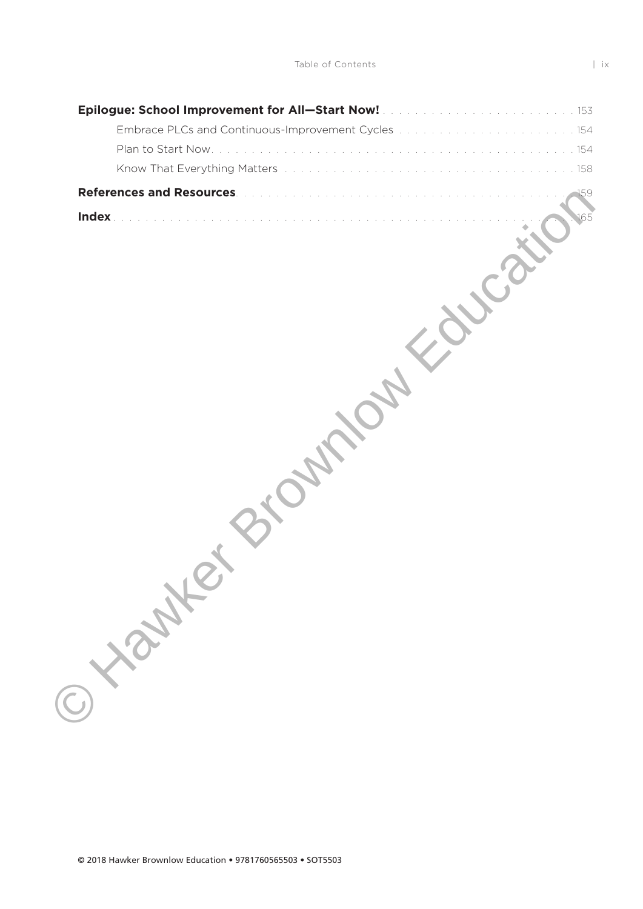| References and Resources. The community of the community of the community of the community of<br>, 159 |
|--------------------------------------------------------------------------------------------------------|
| 165                                                                                                    |
|                                                                                                        |
|                                                                                                        |
| O YOUNG                                                                                                |
|                                                                                                        |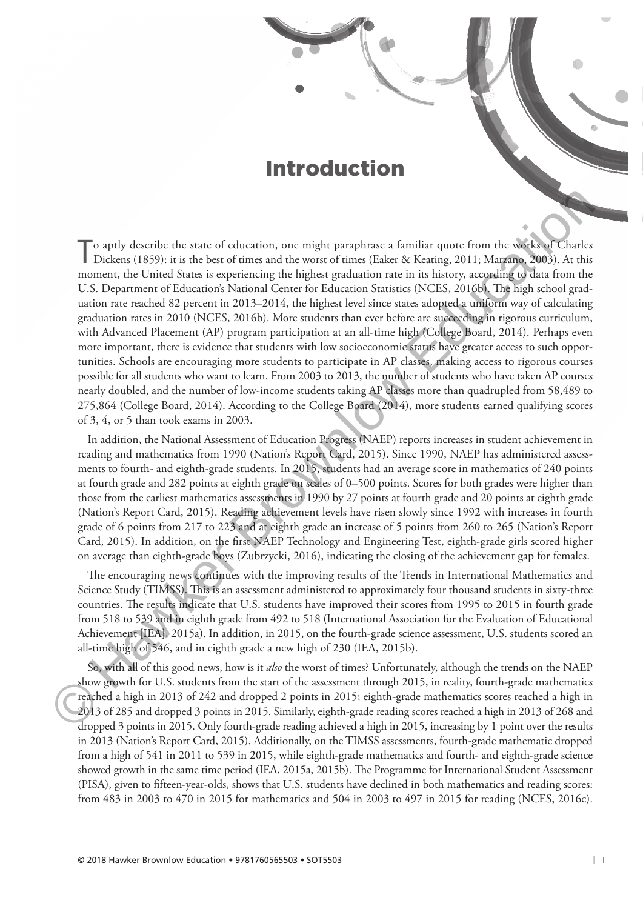## Introduction

To aptly describe the state of education, one might paraphrase a familiar quote from the works of Charles Dickens (1859): it is the best of times and the worst of times (Eaker & Keating, 2011; Marzano, 2003). At this moment, the United States is experiencing the highest graduation rate in its history, according to data from the U.S. Department of Education's National Center for Education Statistics (NCES, 2016b). The high school graduation rate reached 82 percent in 2013–2014, the highest level since states adopted a uniform way of calculating graduation rates in 2010 (NCES, 2016b). More students than ever before are succeeding in rigorous curriculum, with Advanced Placement (AP) program participation at an all-time high (College Board, 2014). Perhaps even more important, there is evidence that students with low socioeconomic status have greater access to such opportunities. Schools are encouraging more students to participate in AP classes, making access to rigorous courses possible for all students who want to learn. From 2003 to 2013, the number of students who have taken AP courses nearly doubled, and the number of low-income students taking AP classes more than quadrupled from 58,489 to 275,864 (College Board, 2014). According to the College Board (2014), more students earned qualifying scores of 3, 4, or 5 than took exams in 2003. To apply describe the state of education, one might paraphrase a familiar quote from the soleholy Charles Dicker and the state of fining (fake as Keating, 2011; Marging, 2005). At this moments the United States is capetin

In addition, the National Assessment of Education Progress (NAEP) reports increases in student achievement in reading and mathematics from 1990 (Nation's Report Card, 2015). Since 1990, NAEP has administered assessments to fourth- and eighth-grade students. In 2015, students had an average score in mathematics of 240 points at fourth grade and 282 points at eighth grade on scales of 0–500 points. Scores for both grades were higher than those from the earliest mathematics assessments in 1990 by 27 points at fourth grade and 20 points at eighth grade (Nation's Report Card, 2015). Reading achievement levels have risen slowly since 1992 with increases in fourth grade of 6 points from 217 to 223 and at eighth grade an increase of 5 points from 260 to 265 (Nation's Report Card, 2015). In addition, on the first NAEP Technology and Engineering Test, eighth-grade girls scored higher on average than eighth-grade boys (Zubrzycki, 2016), indicating the closing of the achievement gap for females.

The encouraging news continues with the improving results of the Trends in International Mathematics and Science Study (TIMSS). This is an assessment administered to approximately four thousand students in sixty-three countries. The results indicate that U.S. students have improved their scores from 1995 to 2015 in fourth grade from 518 to 539 and in eighth grade from 492 to 518 (International Association for the Evaluation of Educational Achievement [IEA], 2015a). In addition, in 2015, on the fourth-grade science assessment, U.S. students scored an all-time high of 546, and in eighth grade a new high of 230 (IEA, 2015b).

So, with all of this good news, how is it *also* the worst of times? Unfortunately, although the trends on the NAEP show growth for U.S. students from the start of the assessment through 2015, in reality, fourth-grade mathematics reached a high in 2013 of 242 and dropped 2 points in 2015; eighth-grade mathematics scores reached a high in 2013 of 285 and dropped 3 points in 2015. Similarly, eighth-grade reading scores reached a high in 2013 of 268 and dropped 3 points in 2015. Only fourth-grade reading achieved a high in 2015, increasing by 1 point over the results in 2013 (Nation's Report Card, 2015). Additionally, on the TIMSS assessments, fourth-grade mathematic dropped from a high of 541 in 2011 to 539 in 2015, while eighth-grade mathematics and fourth- and eighth-grade science showed growth in the same time period (IEA, 2015a, 2015b). The Programme for International Student Assessment (PISA), given to fifteen-year-olds, shows that U.S. students have declined in both mathematics and reading scores: from 483 in 2003 to 470 in 2015 for mathematics and 504 in 2003 to 497 in 2015 for reading (NCES, 2016c).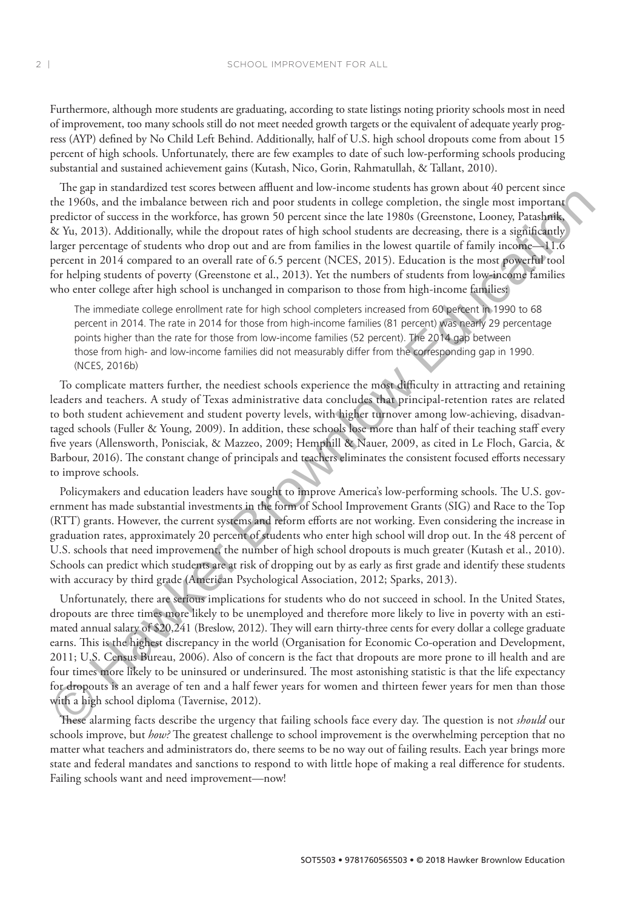Furthermore, although more students are graduating, according to state listings noting priority schools most in need of improvement, too many schools still do not meet needed growth targets or the equivalent of adequate yearly progress (AYP) defined by No Child Left Behind. Additionally, half of U.S. high school dropouts come from about 15 percent of high schools. Unfortunately, there are few examples to date of such low-performing schools producing substantial and sustained achievement gains (Kutash, Nico, Gorin, Rahmatullah, & Tallant, 2010).

The gap in standardized test scores between affluent and low-income students has grown about 40 percent since the 1960s, and the imbalance between rich and poor students in college completion, the single most important predictor of success in the workforce, has grown 50 percent since the late 1980s (Greenstone, Looney, Patashnik, & Yu, 2013). Additionally, while the dropout rates of high school students are decreasing, there is a significantly larger percentage of students who drop out and are from families in the lowest quartile of family income—11.6 percent in 2014 compared to an overall rate of 6.5 percent (NCES, 2015). Education is the most powerful tool for helping students of poverty (Greenstone et al., 2013). Yet the numbers of students from low-income families who enter college after high school is unchanged in comparison to those from high-income families:

The immediate college enrollment rate for high school completers increased from 60 percent in 1990 to 68 percent in 2014. The rate in 2014 for those from high-income families (81 percent) was nearly 29 percentage points higher than the rate for those from low-income families (52 percent). The 2014 gap between those from high- and low-income families did not measurably differ from the corresponding gap in 1990. (NCES, 2016b)

To complicate matters further, the neediest schools experience the most difficulty in attracting and retaining leaders and teachers. A study of Texas administrative data concludes that principal-retention rates are related to both student achievement and student poverty levels, with higher turnover among low-achieving, disadvantaged schools (Fuller & Young, 2009). In addition, these schools lose more than half of their teaching staff every five years (Allensworth, Ponisciak, & Mazzeo, 2009; Hemphill & Nauer, 2009, as cited in Le Floch, Garcia, & Barbour, 2016). The constant change of principals and teachers eliminates the consistent focused efforts necessary to improve schools.

Policymakers and education leaders have sought to improve America's low-performing schools. The U.S. government has made substantial investments in the form of School Improvement Grants (SIG) and Race to the Top (RTT) grants. However, the current systems and reform efforts are not working. Even considering the increase in graduation rates, approximately 20 percent of students who enter high school will drop out. In the 48 percent of U.S. schools that need improvement, the number of high school dropouts is much greater (Kutash et al., 2010). Schools can predict which students are at risk of dropping out by as early as first grade and identify these students with accuracy by third grade (American Psychological Association, 2012; Sparks, 2013).

Unfortunately, there are serious implications for students who do not succeed in school. In the United States, dropouts are three times more likely to be unemployed and therefore more likely to live in poverty with an estimated annual salary of \$20,241 (Breslow, 2012). They will earn thirty-three cents for every dollar a college graduate earns. This is the highest discrepancy in the world (Organisation for Economic Co-operation and Development, 2011; U.S. Census Bureau, 2006). Also of concern is the fact that dropouts are more prone to ill health and are four times more likely to be uninsured or underinsured. The most astonishing statistic is that the life expectancy for dropouts is an average of ten and a half fewer years for women and thirteen fewer years for men than those with a high school diploma (Tavernise, 2012). The mail of the main of the mail of the mail of the main of the main of the main of the main of the main of the main of the main of the main of the main of the main of the main of the main of the main of the main of the m

These alarming facts describe the urgency that failing schools face every day. The question is not *should* our schools improve, but *how?* The greatest challenge to school improvement is the overwhelming perception that no matter what teachers and administrators do, there seems to be no way out of failing results. Each year brings more state and federal mandates and sanctions to respond to with little hope of making a real difference for students. Failing schools want and need improvement—now!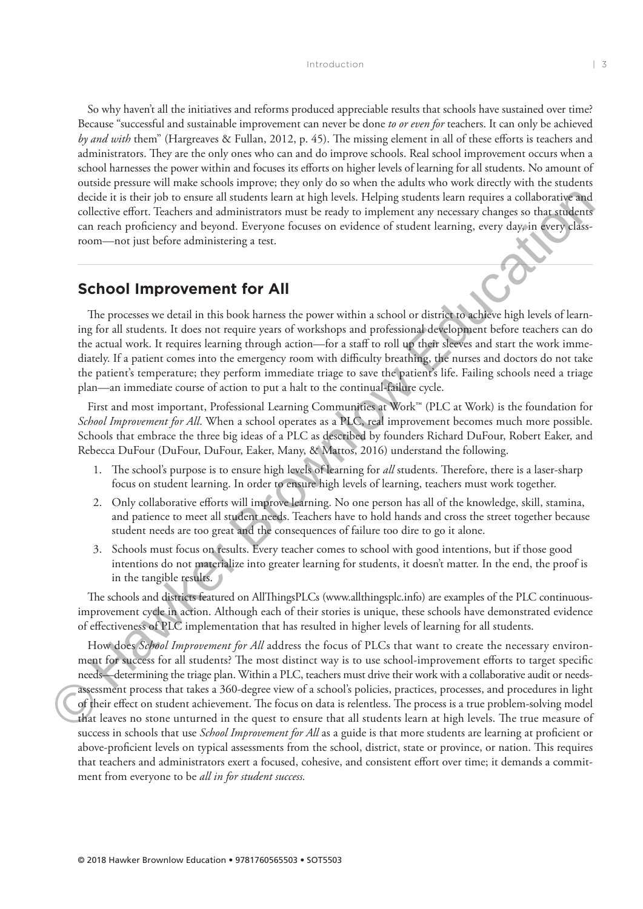So why haven't all the initiatives and reforms produced appreciable results that schools have sustained over time? Because "successful and sustainable improvement can never be done *to or even for* teachers. It can only be achieved *by and with* them" (Hargreaves & Fullan, 2012, p. 45). The missing element in all of these efforts is teachers and administrators. They are the only ones who can and do improve schools. Real school improvement occurs when a school harnesses the power within and focuses its efforts on higher levels of learning for all students. No amount of outside pressure will make schools improve; they only do so when the adults who work directly with the students decide it is their job to ensure all students learn at high levels. Helping students learn requires a collaborative and collective effort. Teachers and administrators must be ready to implement any necessary changes so that students can reach proficiency and beyond. Everyone focuses on evidence of student learning, every day, in every classroom—not just before administering a test.

## **School Improvement for All**

The processes we detail in this book harness the power within a school or district to achieve high levels of learning for all students. It does not require years of workshops and professional development before teachers can do the actual work. It requires learning through action—for a staff to roll up their sleeves and start the work immediately. If a patient comes into the emergency room with difficulty breathing, the nurses and doctors do not take the patient's temperature; they perform immediate triage to save the patient's life. Failing schools need a triage plan—an immediate course of action to put a halt to the continual-failure cycle.

First and most important, Professional Learning Communities at Work™ (PLC at Work) is the foundation for *School Improvement for All*. When a school operates as a PLC, real improvement becomes much more possible. Schools that embrace the three big ideas of a PLC as described by founders Richard DuFour, Robert Eaker, and Rebecca DuFour (DuFour, DuFour, Eaker, Many, & Mattos, 2016) understand the following.

- 1. The school's purpose is to ensure high levels of learning for *all* students. Therefore, there is a laser-sharp focus on student learning. In order to ensure high levels of learning, teachers must work together.
- 2. Only collaborative efforts will improve learning. No one person has all of the knowledge, skill, stamina, and patience to meet all student needs. Teachers have to hold hands and cross the street together because student needs are too great and the consequences of failure too dire to go it alone.
- 3. Schools must focus on results. Every teacher comes to school with good intentions, but if those good intentions do not materialize into greater learning for students, it doesn't matter. In the end, the proof is in the tangible results.

The schools and districts featured on AllThingsPLCs (www.allthingsplc.info) are examples of the PLC continuousimprovement cycle in action. Although each of their stories is unique, these schools have demonstrated evidence of effectiveness of PLC implementation that has resulted in higher levels of learning for all students.

How does *School Improvement for All* address the focus of PLCs that want to create the necessary environment for success for all students? The most distinct way is to use school-improvement efforts to target specific needs—determining the triage plan. Within a PLC, teachers must drive their work with a collaborative audit or needsassessment process that takes a 360-degree view of a school's policies, practices, processes, and procedures in light of their effect on student achievement. The focus on data is relentless. The process is a true problem-solving model that leaves no stone unturned in the quest to ensure that all students learn at high levels. The true measure of success in schools that use *School Improvement for All* as a guide is that more students are learning at proficient or above-proficient levels on typical assessments from the school, district, state or province, or nation. This requires that teachers and administrators exert a focused, cohesive, and consistent effort over time; it demands a commitment from everyone to be *all in for student success.* decide it is their by the meansured luministerator at high levels. Helping such as the gas of the mean of the same of the same of the same of the same of the same of the same of the same of the same of the same of the sam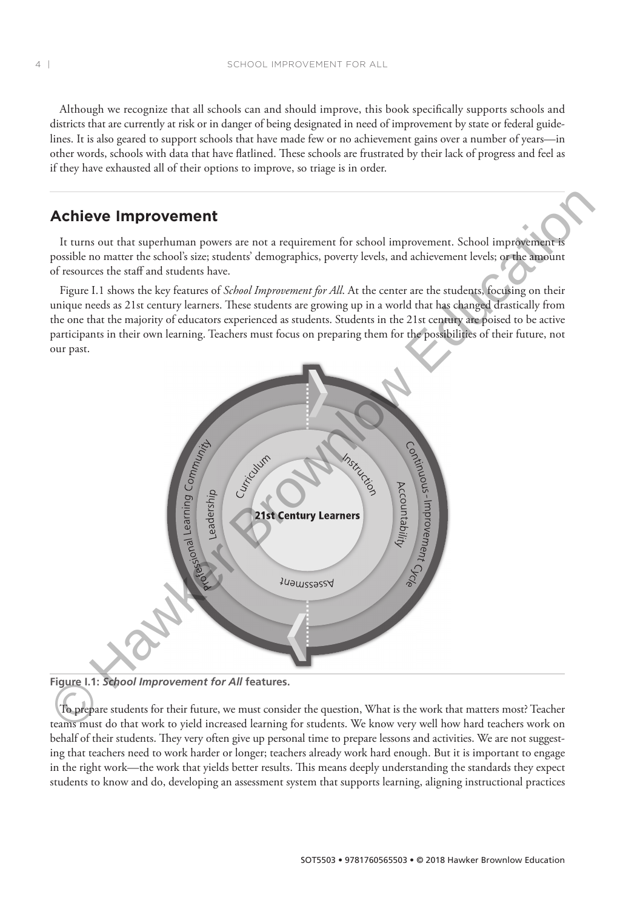Although we recognize that all schools can and should improve, this book specifically supports schools and districts that are currently at risk or in danger of being designated in need of improvement by state or federal guidelines. It is also geared to support schools that have made few or no achievement gains over a number of years—in other words, schools with data that have flatlined. These schools are frustrated by their lack of progress and feel as if they have exhausted all of their options to improve, so triage is in order.

### **Achieve Improvement**

It turns out that superhuman powers are not a requirement for school improvement. School improvement is possible no matter the school's size; students' demographics, poverty levels, and achievement levels; or the amount of resources the staff and students have.

Figure I.1 shows the key features of *School Improvement for All*. At the center are the students, focusing on their unique needs as 21st century learners. These students are growing up in a world that has changed drastically from the one that the majority of educators experienced as students. Students in the 21st century are poised to be active participants in their own learning. Teachers must focus on preparing them for the possibilities of their future, not our past.



**Figure I.1:** *School Improvement for All* **features.**

To prepare students for their future, we must consider the question, What is the work that matters most? Teacher teams must do that work to yield increased learning for students. We know very well how hard teachers work on behalf of their students. They very often give up personal time to prepare lessons and activities. We are not suggesting that teachers need to work harder or longer; teachers already work hard enough. But it is important to engage in the right work—the work that yields better results. This means deeply understanding the standards they expect students to know and do, developing an assessment system that supports learning, aligning instructional practices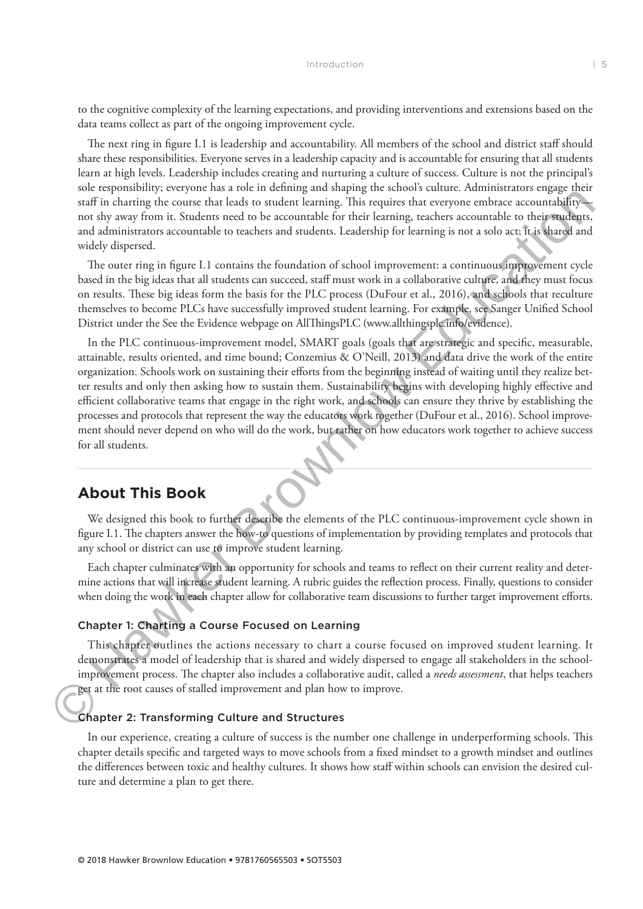to the cognitive complexity of the learning expectations, and providing interventions and extensions based on the data teams collect as part of the ongoing improvement cycle.

The next ring in figure I.1 is leadership and accountability. All members of the school and district staff should share these responsibilities. Everyone serves in a leadership capacity and is accountable for ensuring that all students learn at high levels. Leadership includes creating and nurturing a culture of success. Culture is not the principal's sole responsibility; everyone has a role in defining and shaping the school's culture. Administrators engage their staff in charting the course that leads to student learning. This requires that everyone embrace accountability not shy away from it. Students need to be accountable for their learning, teachers accountable to their students, and administrators accountable to teachers and students. Leadership for learning is not a solo act; it is shared and widely dispersed.

The outer ring in figure I.1 contains the foundation of school improvement: a continuous improvement cycle based in the big ideas that all students can succeed, staff must work in a collaborative culture, and they must focus on results. These big ideas form the basis for the PLC process (DuFour et al., 2016), and schools that reculture themselves to become PLCs have successfully improved student learning. For example, see Sanger Unified School District under the See the Evidence webpage on AllThingsPLC (www.allthingsplc.info/evidence).

In the PLC continuous-improvement model, SMART goals (goals that are strategic and specific, measurable, attainable, results oriented, and time bound; Conzemius & O'Neill, 2013) and data drive the work of the entire organization. Schools work on sustaining their efforts from the beginning instead of waiting until they realize better results and only then asking how to sustain them. Sustainability begins with developing highly effective and efficient collaborative teams that engage in the right work, and schools can ensure they thrive by establishing the processes and protocols that represent the way the educators work together (DuFour et al., 2016). School improvement should never depend on who will do the work, but rather on how educators work together to achieve success for all students. As the power from the solution of the solution of the solution of the solution of the solution of the solution of the solution of the solution of the solution of the solution of the solution and the solution of the soluti

## **About This Book**

We designed this book to further describe the elements of the PLC continuous-improvement cycle shown in figure I.1. The chapters answer the how-to questions of implementation by providing templates and protocols that any school or district can use to improve student learning.

Each chapter culminates with an opportunity for schools and teams to reflect on their current reality and determine actions that will increase student learning. A rubric guides the reflection process. Finally, questions to consider when doing the work in each chapter allow for collaborative team discussions to further target improvement efforts.

#### Chapter 1: Charting a Course Focused on Learning

This chapter outlines the actions necessary to chart a course focused on improved student learning. It demonstrates a model of leadership that is shared and widely dispersed to engage all stakeholders in the schoolimprovement process. The chapter also includes a collaborative audit, called a *needs assessment*, that helps teachers get at the root causes of stalled improvement and plan how to improve.

#### Chapter 2: Transforming Culture and Structures

In our experience, creating a culture of success is the number one challenge in underperforming schools. This chapter details specific and targeted ways to move schools from a fixed mindset to a growth mindset and outlines the differences between toxic and healthy cultures. It shows how staff within schools can envision the desired culture and determine a plan to get there.